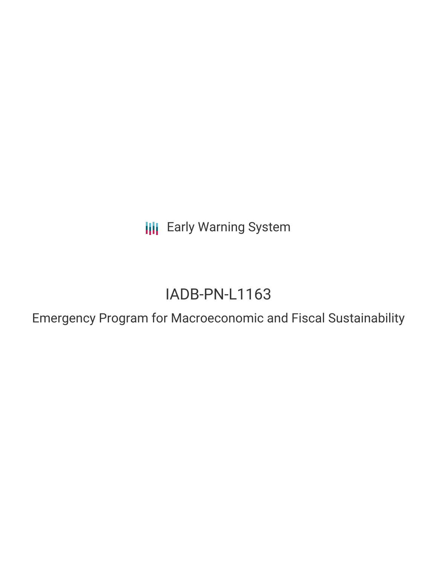**III** Early Warning System

# IADB-PN-L1163

Emergency Program for Macroeconomic and Fiscal Sustainability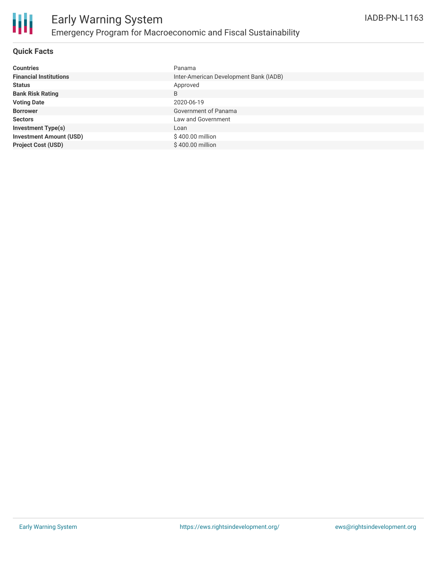

#### **Quick Facts**

| <b>Countries</b>               | Panama                                 |
|--------------------------------|----------------------------------------|
| <b>Financial Institutions</b>  | Inter-American Development Bank (IADB) |
| <b>Status</b>                  | Approved                               |
| <b>Bank Risk Rating</b>        | B                                      |
| <b>Voting Date</b>             | 2020-06-19                             |
| <b>Borrower</b>                | Government of Panama                   |
| <b>Sectors</b>                 | Law and Government                     |
| <b>Investment Type(s)</b>      | Loan                                   |
| <b>Investment Amount (USD)</b> | \$400.00 million                       |
| <b>Project Cost (USD)</b>      | $$400.00$ million                      |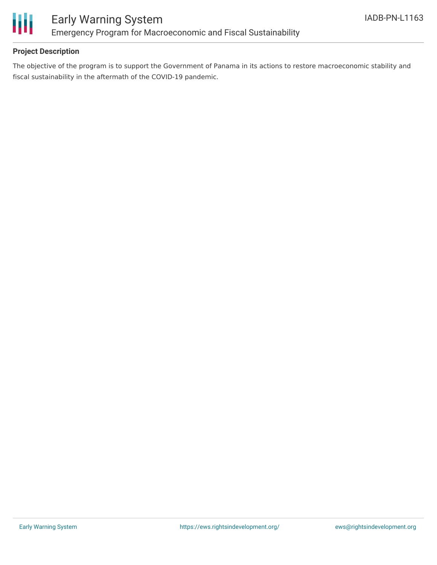

#### **Project Description**

The objective of the program is to support the Government of Panama in its actions to restore macroeconomic stability and fiscal sustainability in the aftermath of the COVID-19 pandemic.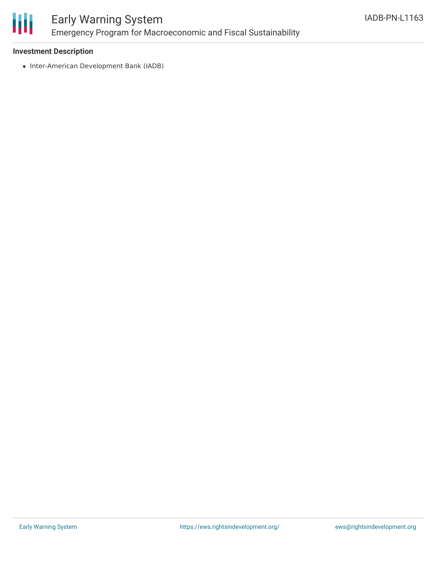

### Early Warning System Emergency Program for Macroeconomic and Fiscal Sustainability

#### **Investment Description**

• Inter-American Development Bank (IADB)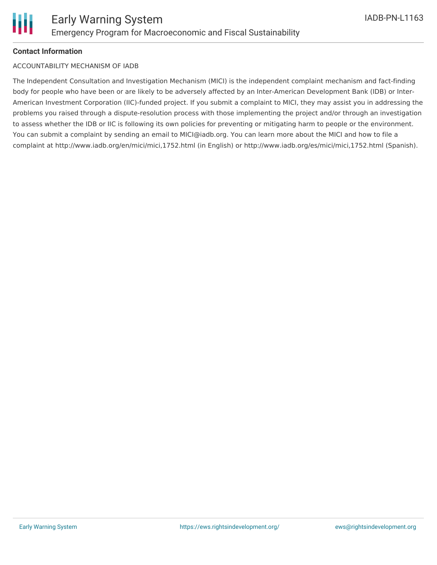#### **Contact Information**

#### ACCOUNTABILITY MECHANISM OF IADB

The Independent Consultation and Investigation Mechanism (MICI) is the independent complaint mechanism and fact-finding body for people who have been or are likely to be adversely affected by an Inter-American Development Bank (IDB) or Inter-American Investment Corporation (IIC)-funded project. If you submit a complaint to MICI, they may assist you in addressing the problems you raised through a dispute-resolution process with those implementing the project and/or through an investigation to assess whether the IDB or IIC is following its own policies for preventing or mitigating harm to people or the environment. You can submit a complaint by sending an email to MICI@iadb.org. You can learn more about the MICI and how to file a complaint at http://www.iadb.org/en/mici/mici,1752.html (in English) or http://www.iadb.org/es/mici/mici,1752.html (Spanish).